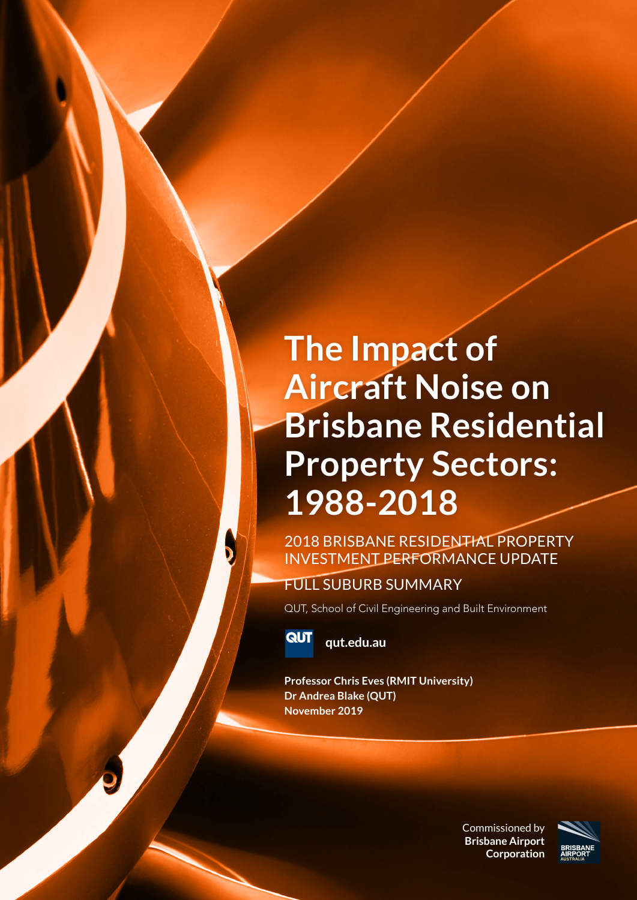### **The Impact of Aircraft Noise on Brisbane Residential Property Sectors: 1988-2018**

2018 BRISBANE RESIDENTIAL PROPERTY INVESTMENT PERFORMANCE UPDATE

### FULL SUBURB SUMMARY

QUT, School of Civil Engineering and Built Environment



 $\mathbf{D}$ 

**qut.edu.au**

**Professor Chris Eves (RMIT University) Dr Andrea Blake (QUT) November 2019**

> Commissioned by **Brisbane Airport Corporation**

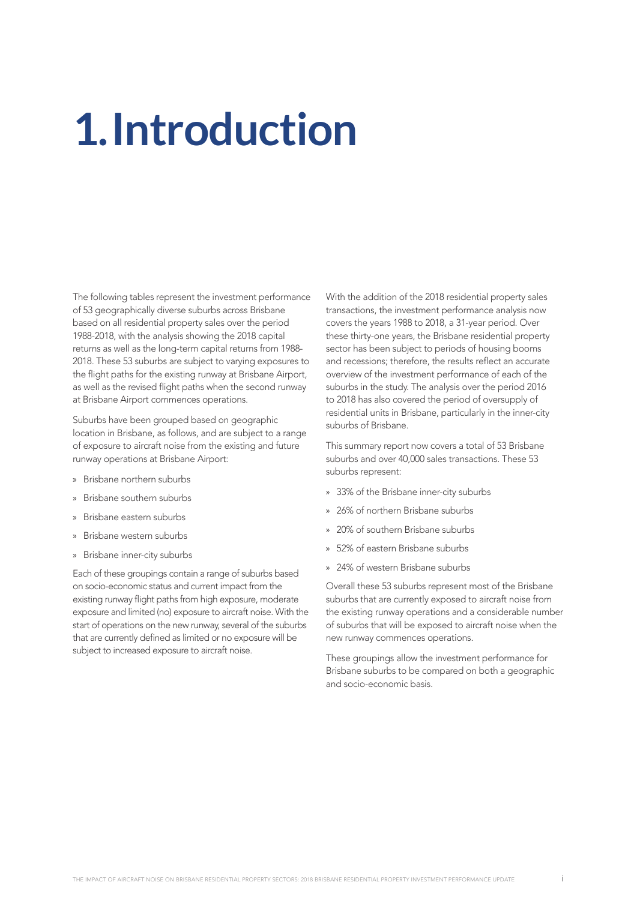## **1.Introduction**

The following tables represent the investment performance of 53 geographically diverse suburbs across Brisbane based on all residential property sales over the period 1988-2018, with the analysis showing the 2018 capital returns as well as the long-term capital returns from 1988- 2018. These 53 suburbs are subject to varying exposures to the flight paths for the existing runway at Brisbane Airport, as well as the revised flight paths when the second runway at Brisbane Airport commences operations.

Suburbs have been grouped based on geographic location in Brisbane, as follows, and are subject to a range of exposure to aircraft noise from the existing and future runway operations at Brisbane Airport:

- » Brisbane northern suburbs
- » Brisbane southern suburbs
- » Brisbane eastern suburbs
- » Brisbane western suburbs
- » Brisbane inner-city suburbs

Each of these groupings contain a range of suburbs based on socio-economic status and current impact from the existing runway flight paths from high exposure, moderate exposure and limited (no) exposure to aircraft noise. With the start of operations on the new runway, several of the suburbs that are currently defined as limited or no exposure will be subject to increased exposure to aircraft noise.

With the addition of the 2018 residential property sales transactions, the investment performance analysis now covers the years 1988 to 2018, a 31-year period. Over these thirty-one years, the Brisbane residential property sector has been subject to periods of housing booms and recessions; therefore, the results reflect an accurate overview of the investment performance of each of the suburbs in the study. The analysis over the period 2016 to 2018 has also covered the period of oversupply of residential units in Brisbane, particularly in the inner-city suburbs of Brisbane.

This summary report now covers a total of 53 Brisbane suburbs and over 40,000 sales transactions. These 53 suburbs represent:

- » 33% of the Brisbane inner-city suburbs
- » 26% of northern Brisbane suburbs
- » 20% of southern Brisbane suburbs
- » 52% of eastern Brisbane suburbs
- » 24% of western Brisbane suburbs

Overall these 53 suburbs represent most of the Brisbane suburbs that are currently exposed to aircraft noise from the existing runway operations and a considerable number of suburbs that will be exposed to aircraft noise when the new runway commences operations.

These groupings allow the investment performance for Brisbane suburbs to be compared on both a geographic and socio-economic basis.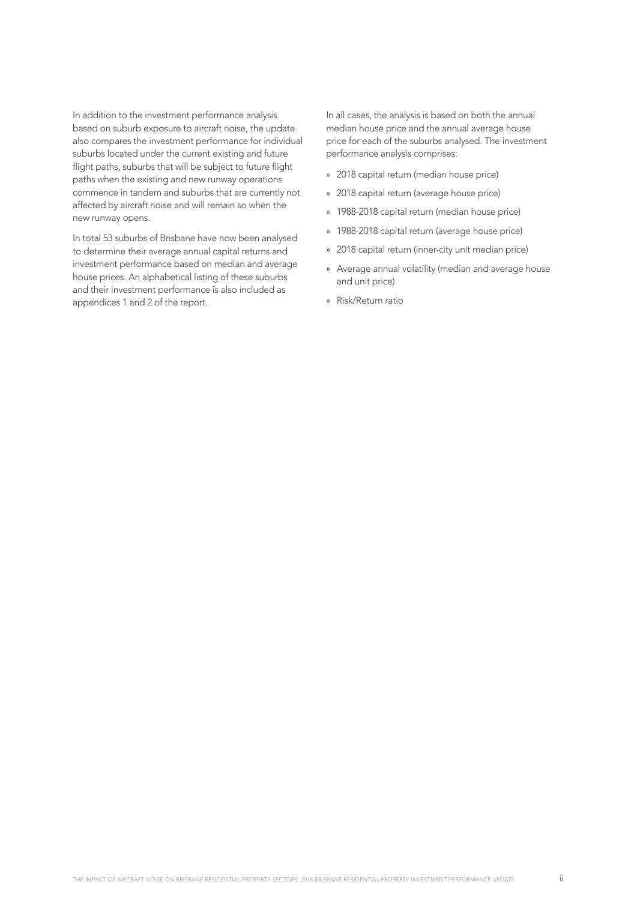In addition to the investment performance analysis based on suburb exposure to aircraft noise, the update also compares the investment performance for individual suburbs located under the current existing and future flight paths, suburbs that will be subject to future flight paths when the existing and new runway operations commence in tandem and suburbs that are currently not affected by aircraft noise and will remain so when the new runway opens.

In total 53 suburbs of Brisbane have now been analysed to determine their average annual capital returns and investment performance based on median and average house prices. An alphabetical listing of these suburbs and their investment performance is also included as appendices 1 and 2 of the report.

In all cases, the analysis is based on both the annual median house price and the annual average house price for each of the suburbs analysed. The investment performance analysis comprises:

- » 2018 capital return (median house price)
- » 2018 capital return (average house price)
- » 1988-2018 capital return (median house price)
- » 1988-2018 capital return (average house price)
- » 2018 capital return (inner-city unit median price)
- » Average annual volatility (median and average house and unit price)
- » Risk/Return ratio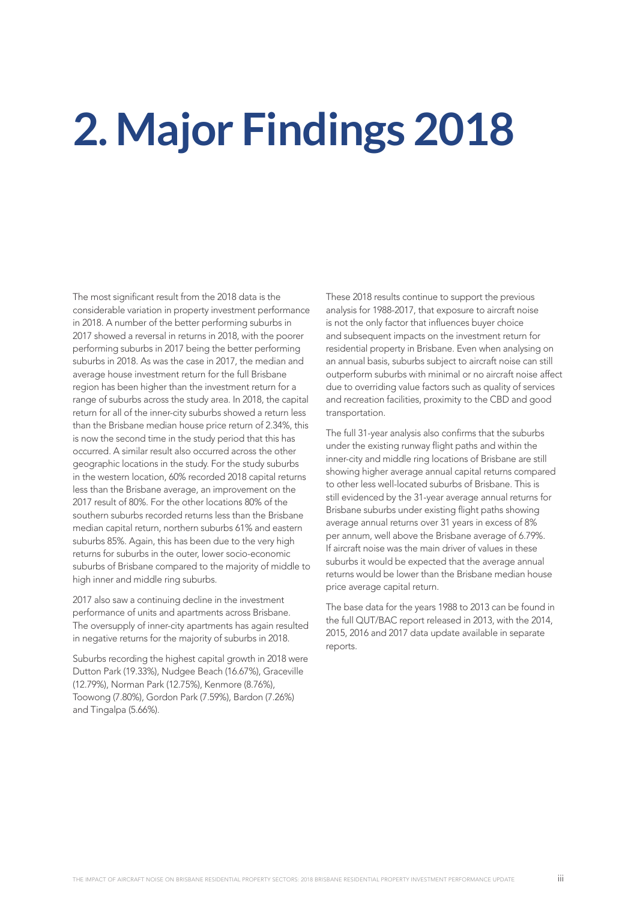## **2. Major Findings 2018**

The most significant result from the 2018 data is the considerable variation in property investment performance in 2018. A number of the better performing suburbs in 2017 showed a reversal in returns in 2018, with the poorer performing suburbs in 2017 being the better performing suburbs in 2018. As was the case in 2017, the median and average house investment return for the full Brisbane region has been higher than the investment return for a range of suburbs across the study area. In 2018, the capital return for all of the inner-city suburbs showed a return less than the Brisbane median house price return of 2.34%, this is now the second time in the study period that this has occurred. A similar result also occurred across the other geographic locations in the study. For the study suburbs in the western location, 60% recorded 2018 capital returns less than the Brisbane average, an improvement on the 2017 result of 80%. For the other locations 80% of the southern suburbs recorded returns less than the Brisbane median capital return, northern suburbs 61% and eastern suburbs 85%. Again, this has been due to the very high returns for suburbs in the outer, lower socio-economic suburbs of Brisbane compared to the majority of middle to high inner and middle ring suburbs.

2017 also saw a continuing decline in the investment performance of units and apartments across Brisbane. The oversupply of inner-city apartments has again resulted in negative returns for the majority of suburbs in 2018.

Suburbs recording the highest capital growth in 2018 were Dutton Park (19.33%), Nudgee Beach (16.67%), Graceville (12.79%), Norman Park (12.75%), Kenmore (8.76%), Toowong (7.80%), Gordon Park (7.59%), Bardon (7.26%) and Tingalpa (5.66%).

These 2018 results continue to support the previous analysis for 1988-2017, that exposure to aircraft noise is not the only factor that influences buyer choice and subsequent impacts on the investment return for residential property in Brisbane. Even when analysing on an annual basis, suburbs subject to aircraft noise can still outperform suburbs with minimal or no aircraft noise affect due to overriding value factors such as quality of services and recreation facilities, proximity to the CBD and good transportation.

The full 31-year analysis also confirms that the suburbs under the existing runway flight paths and within the inner-city and middle ring locations of Brisbane are still showing higher average annual capital returns compared to other less well-located suburbs of Brisbane. This is still evidenced by the 31-year average annual returns for Brisbane suburbs under existing flight paths showing average annual returns over 31 years in excess of 8% per annum, well above the Brisbane average of 6.79%. If aircraft noise was the main driver of values in these suburbs it would be expected that the average annual returns would be lower than the Brisbane median house price average capital return.

The base data for the years 1988 to 2013 can be found in the full QUT/BAC report released in 2013, with the 2014, 2015, 2016 and 2017 data update available in separate reports.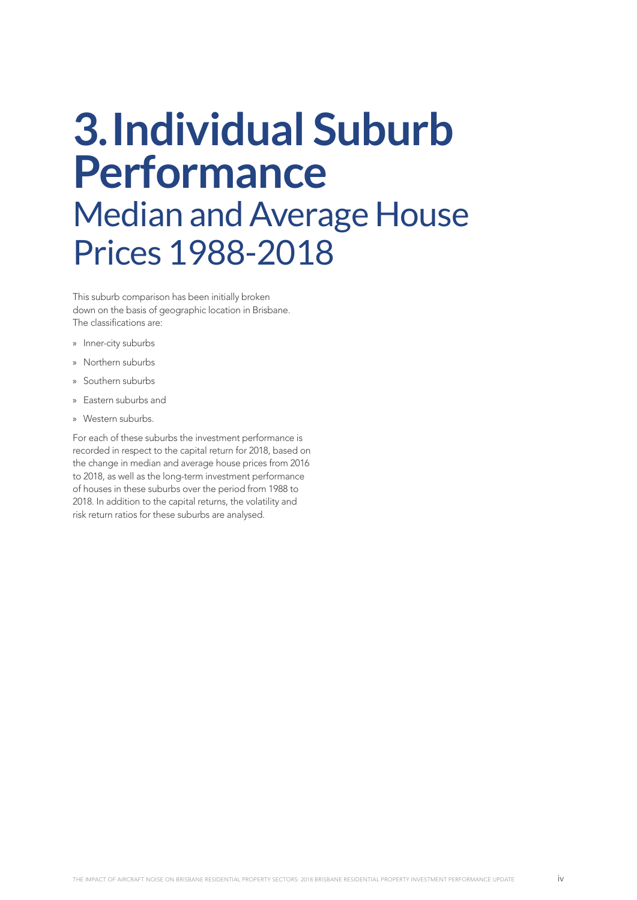### **3.Individual Suburb Performance** Median and Average House Prices 1988-2018

This suburb comparison has been initially broken down on the basis of geographic location in Brisbane. The classifications are:

- » Inner-city suburbs
- » Northern suburbs
- » Southern suburbs
- » Eastern suburbs and
- » Western suburbs.

For each of these suburbs the investment performance is recorded in respect to the capital return for 2018, based on the change in median and average house prices from 2016 to 2018, as well as the long-term investment performance of houses in these suburbs over the period from 1988 to 2018. In addition to the capital returns, the volatility and risk return ratios for these suburbs are analysed.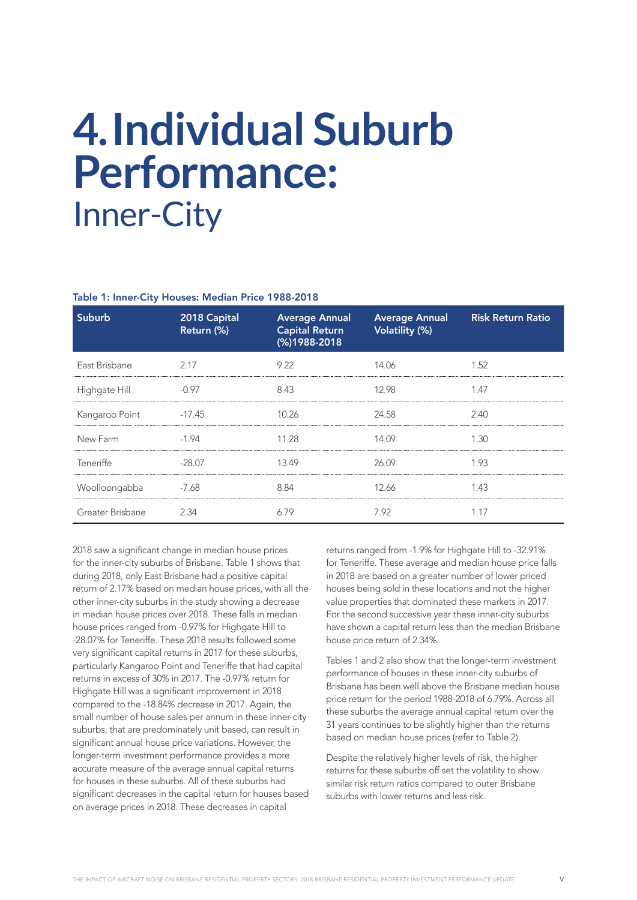### **4.Individual Suburb Performance:**  Inner-City

#### Table 1: Inner-City Houses: Median Price 1988-2018

| Suburb           | 2018 Capital<br>Return (%) | <b>Average Annual</b><br><b>Capital Return</b><br>(%)1988-2018 | <b>Average Annual</b><br>Volatility (%) | <b>Risk Return Ratio</b> |
|------------------|----------------------------|----------------------------------------------------------------|-----------------------------------------|--------------------------|
| East Brisbane    | 2.17                       | 9.22                                                           | 14.06                                   | 1.52                     |
| Highgate Hill    | $-0.97$                    | 8.43                                                           | 12.98                                   | 1.47                     |
| Kangaroo Point   | $-17.45$                   | 10.26                                                          | 24.58                                   | 2.40                     |
| New Farm         | $-1.94$                    | 11.28                                                          | 14.09                                   | 1.30                     |
| Teneriffe        | $-28.07$                   | 13.49                                                          | 26.09                                   | 1.93                     |
| Woolloongabba    | -7.68                      | 8.84                                                           | 12.66                                   | 1.43                     |
| Greater Brisbane | 2.34                       | 6.79                                                           | 7.92                                    | 1.17                     |

2018 saw a significant change in median house prices for the inner-city suburbs of Brisbane. Table 1 shows that during 2018, only East Brisbane had a positive capital return of 2.17% based on median house prices, with all the other inner-city suburbs in the study showing a decrease in median house prices over 2018. These falls in median house prices ranged from -0.97% for Highgate Hill to -28.07% for Teneriffe. These 2018 results followed some very significant capital returns in 2017 for these suburbs, particularly Kangaroo Point and Teneriffe that had capital returns in excess of 30% in 2017. The -0.97% return for Highgate Hill was a significant improvement in 2018 compared to the -18.84% decrease in 2017. Again, the small number of house sales per annum in these inner-city suburbs, that are predominately unit based, can result in significant annual house price variations. However, the longer-term investment performance provides a more accurate measure of the average annual capital returns for houses in these suburbs. All of these suburbs had significant decreases in the capital return for houses based on average prices in 2018. These decreases in capital

returns ranged from -1.9% for Highgate Hill to -32.91% for Teneriffe. These average and median house price falls in 2018 are based on a greater number of lower priced houses being sold in these locations and not the higher value properties that dominated these markets in 2017. For the second successive year these inner-city suburbs have shown a capital return less than the median Brisbane house price return of 2.34%.

Tables 1 and 2 also show that the longer-term investment performance of houses in these inner-city suburbs of Brisbane has been well above the Brisbane median house price return for the period 1988-2018 of 6.79%. Across all these suburbs the average annual capital return over the 31 years continues to be slightly higher than the returns based on median house prices (refer to Table 2).

Despite the relatively higher levels of risk, the higher returns for these suburbs off set the volatility to show similar risk return ratios compared to outer Brisbane suburbs with lower returns and less risk.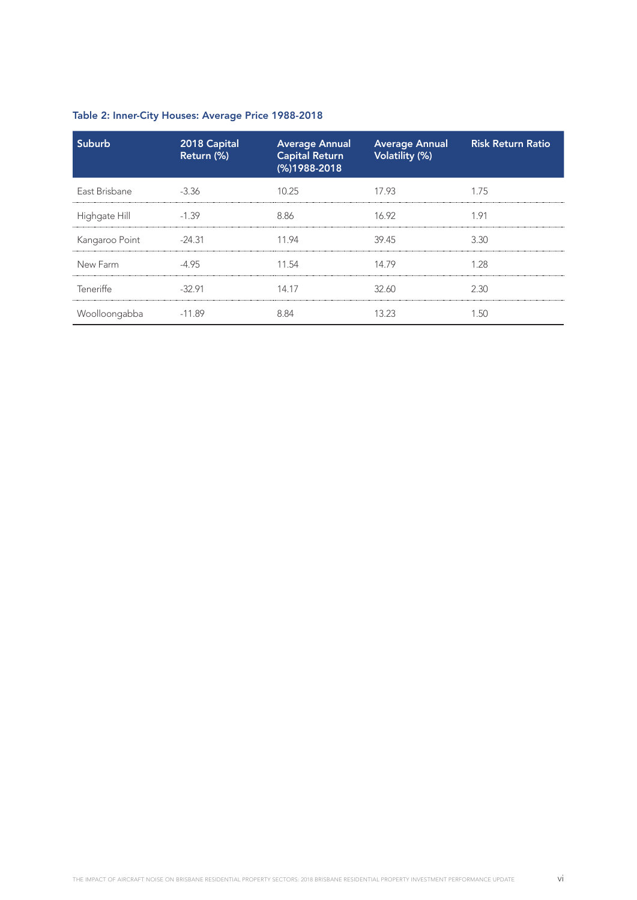| Suburb         | 2018 Capital<br>Return (%) | <b>Average Annual</b><br><b>Capital Return</b><br>(%)1988-2018 | <b>Average Annual</b><br>Volatility (%) | <b>Risk Return Ratio</b> |
|----------------|----------------------------|----------------------------------------------------------------|-----------------------------------------|--------------------------|
| East Brisbane  | $-3.36$                    | 10.25                                                          | 17.93                                   | 1.75                     |
| Highgate Hill  | -1.39                      | 886                                                            | 16.92                                   | 1 91                     |
| Kangaroo Point | $-24.31$                   | 1194                                                           | 39.45                                   | 3.30                     |
| New Farm       |                            | 11.54                                                          | 14 79                                   | 1 28                     |
| Teneriffe      | $-3291$                    | 14.17                                                          | 32.60                                   | 2.30                     |
| Woolloongabba  | -11.89                     |                                                                |                                         |                          |

### Table 2: Inner-City Houses: Average Price 1988-2018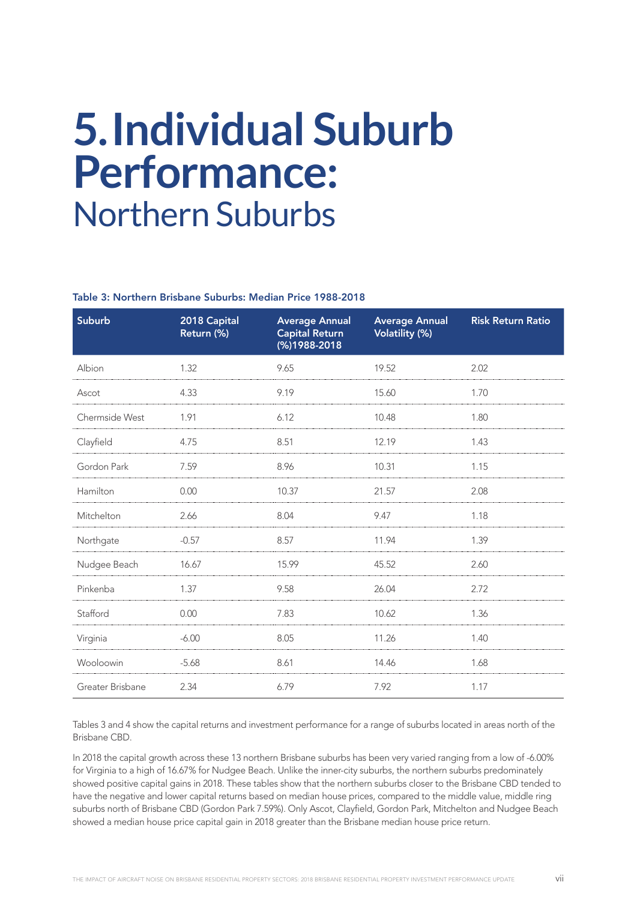### **5.Individual Suburb Performance:**  Northern Suburbs

#### Table 3: Northern Brisbane Suburbs: Median Price 1988-2018

| Suburb           | 2018 Capital<br>Return (%) | <b>Average Annual</b><br><b>Capital Return</b><br>(%)1988-2018 | <b>Average Annual</b><br><b>Volatility (%)</b> | <b>Risk Return Ratio</b> |
|------------------|----------------------------|----------------------------------------------------------------|------------------------------------------------|--------------------------|
| Albion           | 1.32                       | 9.65                                                           | 19.52                                          | 2.02                     |
| Ascot            | 4.33                       | 9.19                                                           | 15.60                                          | 1.70                     |
| Chermside West   | 1.91                       | 6.12                                                           | 10.48                                          | 1.80                     |
| Clayfield        | 4.75                       | 8.51                                                           | 12.19                                          | 1.43                     |
| Gordon Park      | 7.59                       | 8.96                                                           | 10.31                                          | 1.15                     |
| Hamilton         | 0.00                       | 10.37                                                          | 21.57                                          | 2.08                     |
| Mitchelton       | 2.66                       | 8.04                                                           | 9.47                                           | 1.18                     |
| Northgate        | $-0.57$                    | 8.57                                                           | 11.94                                          | 1.39                     |
| Nudgee Beach     | 16.67                      | 15.99                                                          | 45.52                                          | 2.60                     |
| Pinkenba         | 1.37                       | 9.58                                                           | 26.04                                          | 2.72                     |
| Stafford         | 0.00                       | 7.83                                                           | 10.62                                          | 1.36                     |
| Virginia         | $-6.00$                    | 8.05                                                           | 11.26                                          | 1.40                     |
| Wooloowin        | $-5.68$                    | 8.61                                                           | 14.46                                          | 1.68                     |
| Greater Brisbane | 2.34                       | 6.79                                                           | 7.92                                           | 1.17                     |

Tables 3 and 4 show the capital returns and investment performance for a range of suburbs located in areas north of the Brisbane CBD.

In 2018 the capital growth across these 13 northern Brisbane suburbs has been very varied ranging from a low of -6.00% for Virginia to a high of 16.67% for Nudgee Beach. Unlike the inner-city suburbs, the northern suburbs predominately showed positive capital gains in 2018. These tables show that the northern suburbs closer to the Brisbane CBD tended to have the negative and lower capital returns based on median house prices, compared to the middle value, middle ring suburbs north of Brisbane CBD (Gordon Park 7.59%). Only Ascot, Clayfield, Gordon Park, Mitchelton and Nudgee Beach showed a median house price capital gain in 2018 greater than the Brisbane median house price return.

THE IMPACT OF AIRCRAFT NOISE ON BRISBANE RESIDENTIAL PROPERTY SECTORS: 2018 BRISBANE RESIDENTIAL PROPERTY INVESTMENT PERFORMANCE UPDATE vii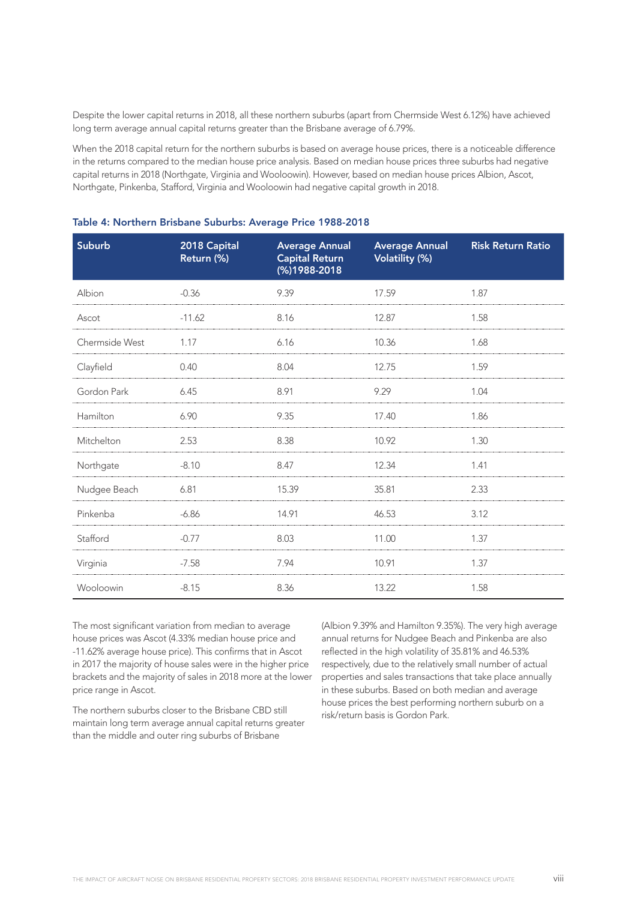Despite the lower capital returns in 2018, all these northern suburbs (apart from Chermside West 6.12%) have achieved long term average annual capital returns greater than the Brisbane average of 6.79%.

When the 2018 capital return for the northern suburbs is based on average house prices, there is a noticeable difference in the returns compared to the median house price analysis. Based on median house prices three suburbs had negative capital returns in 2018 (Northgate, Virginia and Wooloowin). However, based on median house prices Albion, Ascot, Northgate, Pinkenba, Stafford, Virginia and Wooloowin had negative capital growth in 2018.

| <b>Suburb</b>  | 2018 Capital<br>Return (%) | <b>Average Annual</b><br><b>Capital Return</b><br>(%)1988-2018 | <b>Average Annual</b><br><b>Volatility (%)</b> | <b>Risk Return Ratio</b> |
|----------------|----------------------------|----------------------------------------------------------------|------------------------------------------------|--------------------------|
| Albion         | $-0.36$                    | 9.39                                                           | 17.59                                          | 1.87                     |
| Ascot          | $-11.62$                   | 8.16                                                           | 12.87                                          | 1.58                     |
| Chermside West | 1.17                       | 6.16                                                           | 10.36                                          | 1.68                     |
| Clayfield      | 0.40                       | 8.04                                                           | 12.75                                          | 1.59                     |
| Gordon Park    | 6.45                       | 8.91                                                           | 9.29                                           | 1.04                     |
| Hamilton       | 6.90                       | 9.35                                                           | 17.40                                          | 1.86                     |
| Mitchelton     | 2.53                       | 8.38                                                           | 10.92                                          | 1.30                     |
| Northgate      | $-8.10$                    | 8.47                                                           | 12.34                                          | 1.41                     |
| Nudgee Beach   | 6.81                       | 15.39                                                          | 35.81                                          | 2.33                     |
| Pinkenba       | $-6.86$                    | 14.91                                                          | 46.53                                          | 3.12                     |
| Stafford       | $-0.77$                    | 8.03                                                           | 11.00                                          | 1.37                     |
| Virginia       | $-7.58$                    | 7.94                                                           | 10.91                                          | 1.37                     |
| Wooloowin      | $-8.15$                    | 8.36                                                           | 13.22                                          | 1.58                     |

The most significant variation from median to average house prices was Ascot (4.33% median house price and -11.62% average house price). This confirms that in Ascot in 2017 the majority of house sales were in the higher price brackets and the majority of sales in 2018 more at the lower price range in Ascot.

The northern suburbs closer to the Brisbane CBD still maintain long term average annual capital returns greater than the middle and outer ring suburbs of Brisbane

(Albion 9.39% and Hamilton 9.35%). The very high average annual returns for Nudgee Beach and Pinkenba are also reflected in the high volatility of 35.81% and 46.53% respectively, due to the relatively small number of actual properties and sales transactions that take place annually in these suburbs. Based on both median and average house prices the best performing northern suburb on a risk/return basis is Gordon Park.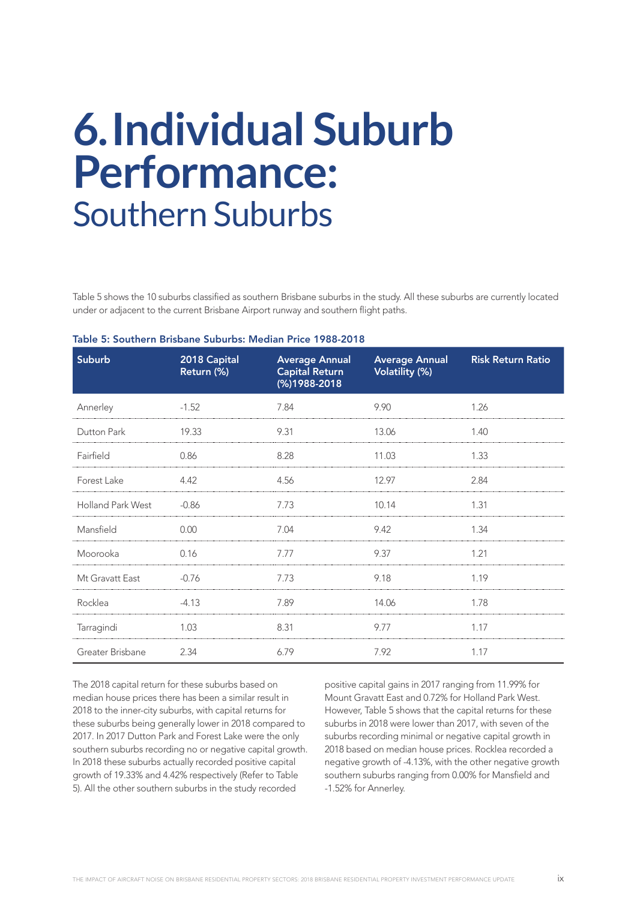### **6.Individual Suburb Performance:**  Southern Suburbs

Table 5 shows the 10 suburbs classified as southern Brisbane suburbs in the study. All these suburbs are currently located under or adjacent to the current Brisbane Airport runway and southern flight paths.

| <b>Suburb</b>     | 2018 Capital<br>Return (%) | <b>Average Annual</b><br><b>Capital Return</b><br>(%)1988-2018 | <b>Average Annual</b><br>Volatility (%) | <b>Risk Return Ratio</b> |
|-------------------|----------------------------|----------------------------------------------------------------|-----------------------------------------|--------------------------|
| Annerley          | $-1.52$                    | 7.84                                                           | 9.90                                    | 1.26                     |
| Dutton Park       | 19.33                      | 9.31                                                           | 13.06                                   | 1.40                     |
| Fairfield         | 0.86                       | 8.28                                                           | 11.03                                   | 1.33                     |
| Forest Lake       | 4.42                       | 4.56                                                           | 12.97                                   | 2.84                     |
| Holland Park West | $-0.86$                    | 7.73                                                           | 10.14                                   | 1.31                     |
| Mansfield         | 0.00                       | 7.04                                                           | 9.42                                    | 1.34                     |
| Moorooka          | 0.16                       | 7.77                                                           | 9.37                                    | 1.21                     |
| Mt Gravatt East   | $-0.76$                    | 7.73                                                           | 9.18                                    | 1.19                     |
| Rocklea           | $-4.13$                    | 7.89                                                           | 14.06                                   | 1.78                     |
| Tarragindi        | 1.03                       | 8.31                                                           | 9.77                                    | 1.17                     |
| Greater Brisbane  | 2.34                       | 6.79                                                           | 7.92                                    | 1.17                     |

#### Table 5: Southern Brisbane Suburbs: Median Price 1988-2018

The 2018 capital return for these suburbs based on median house prices there has been a similar result in 2018 to the inner-city suburbs, with capital returns for these suburbs being generally lower in 2018 compared to 2017. In 2017 Dutton Park and Forest Lake were the only southern suburbs recording no or negative capital growth. In 2018 these suburbs actually recorded positive capital growth of 19.33% and 4.42% respectively (Refer to Table 5). All the other southern suburbs in the study recorded

positive capital gains in 2017 ranging from 11.99% for Mount Gravatt East and 0.72% for Holland Park West. However, Table 5 shows that the capital returns for these suburbs in 2018 were lower than 2017, with seven of the suburbs recording minimal or negative capital growth in 2018 based on median house prices. Rocklea recorded a negative growth of -4.13%, with the other negative growth southern suburbs ranging from 0.00% for Mansfield and -1.52% for Annerley.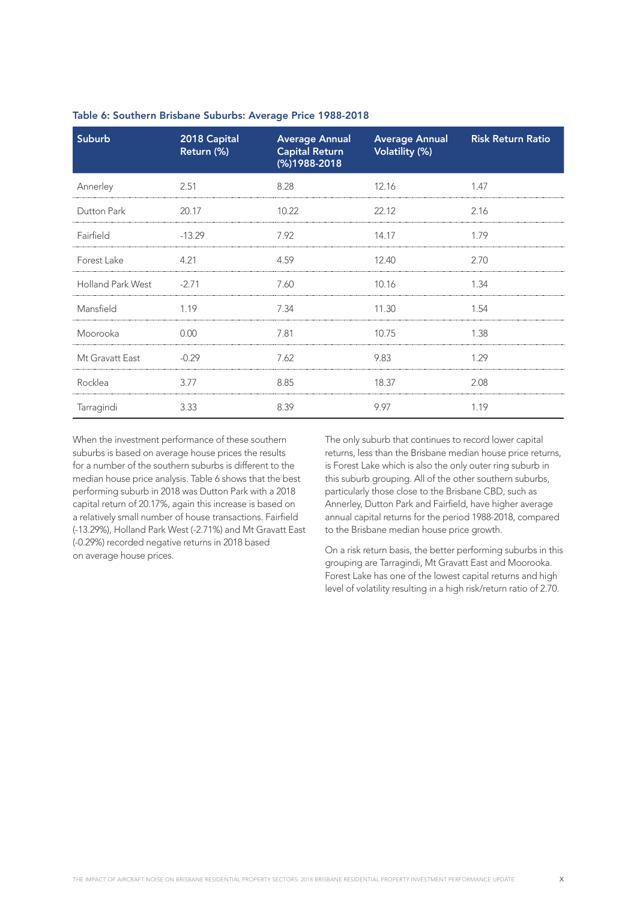| Suburb                   | 2018 Capital<br>Return (%) | <b>Average Annual</b><br><b>Capital Return</b><br>(%)1988-2018 | <b>Average Annual</b><br><b>Volatility (%)</b> | <b>Risk Return Ratio</b> |
|--------------------------|----------------------------|----------------------------------------------------------------|------------------------------------------------|--------------------------|
| Annerley                 | 2.51                       | 8.28                                                           | 12.16                                          | 1.47                     |
| Dutton Park              | 20.17                      | 10.22                                                          | 22.12                                          | 2.16                     |
| Fairfield                | $-13.29$                   | 7.92                                                           | 14.17                                          | 1.79                     |
| Forest Lake              | 4.21                       | 4.59                                                           | 12.40                                          | 2.70                     |
| <b>Holland Park West</b> | $-2.71$                    | 7.60                                                           | 10.16                                          | 1.34                     |
| Mansfield                | 1.19                       | 7.34                                                           | 11.30                                          | 1.54                     |
| Moorooka                 | 0.00                       | 7.81                                                           | 10.75                                          | 1.38                     |
| Mt Gravatt East          | $-0.29$                    | 7.62                                                           | 9.83                                           | 1.29                     |
| Rocklea                  | 3.77                       | 8.85                                                           | 18.37                                          | 2.08                     |
| Tarragindi               | 3.33                       | 8.39                                                           | 9.97                                           | 1.19                     |

Table 6: Southern Brisbane Suburbs: Average Price 1988-2018

When the investment performance of these southern suburbs is based on average house prices the results for a number of the southern suburbs is different to the median house price analysis. Table 6 shows that the best performing suburb in 2018 was Dutton Park with a 2018 capital return of 20.17%, again this increase is based on a relatively small number of house transactions. Fairfield (-13.29%), Holland Park West (-2.71%) and Mt Gravatt East (-0.29%) recorded negative returns in 2018 based on average house prices.

The only suburb that continues to record lower capital returns, less than the Brisbane median house price returns, is Forest Lake which is also the only outer ring suburb in this suburb grouping. All of the other southern suburbs, particularly those close to the Brisbane CBD, such as Annerley, Dutton Park and Fairfield, have higher average annual capital returns for the period 1988-2018, compared to the Brisbane median house price growth.

On a risk return basis, the better performing suburbs in this grouping are Tarragindi, Mt Gravatt East and Moorooka. Forest Lake has one of the lowest capital returns and high level of volatility resulting in a high risk/return ratio of 2.70.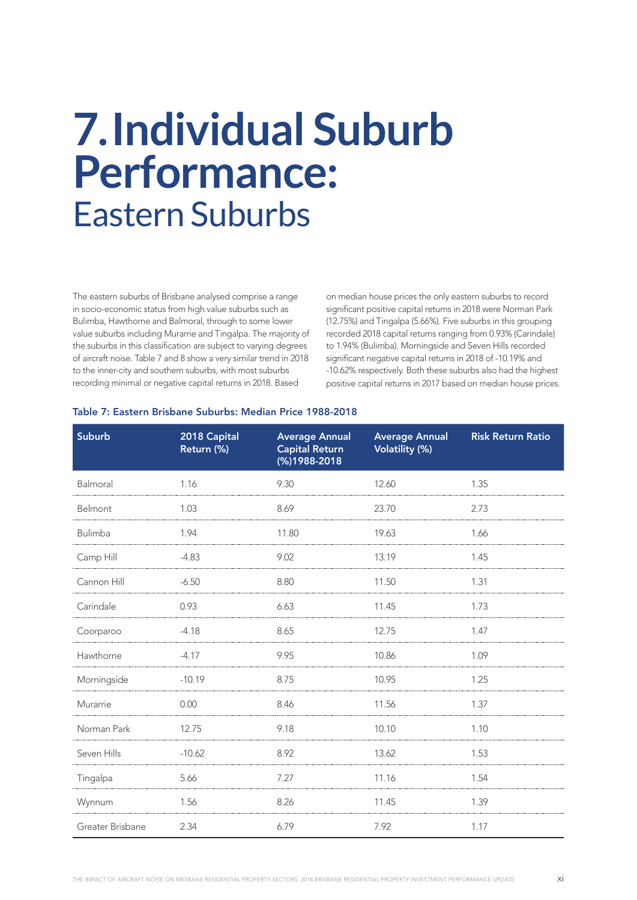### **7.Individual Suburb Performance:**  Eastern Suburbs

The eastern suburbs of Brisbane analysed comprise a range in socio-economic status from high value suburbs such as Bulimba, Hawthorne and Balmoral, through to some lower value suburbs including Murarrie and Tingalpa. The majority of the suburbs in this classification are subject to varying degrees of aircraft noise. Table 7 and 8 show a very similar trend in 2018 to the inner-city and southern suburbs, with most suburbs recording minimal or negative capital returns in 2018. Based

on median house prices the only eastern suburbs to record significant positive capital returns in 2018 were Norman Park (12.75%) and Tingalpa (5.66%). Five suburbs in this grouping recorded 2018 capital returns ranging from 0.93% (Carindale) to 1.94% (Bulimba). Morningside and Seven Hills recorded significant negative capital returns in 2018 of -10.19% and -10.62% respectively. Both these suburbs also had the highest positive capital returns in 2017 based on median house prices.

#### Table 7: Eastern Brisbane Suburbs: Median Price 1988-2018

| <b>Suburb</b>    | 2018 Capital<br>Return (%) | <b>Average Annual</b><br><b>Capital Return</b><br>(%)1988-2018 | <b>Average Annual</b><br>Volatility (%) | <b>Risk Return Ratio</b> |
|------------------|----------------------------|----------------------------------------------------------------|-----------------------------------------|--------------------------|
| Balmoral         | 1.16                       | 9.30                                                           | 12.60                                   | 1.35                     |
| Belmont          | 1.03                       | 8.69                                                           | 23.70                                   | 2.73                     |
| Bulimba          | 1.94                       | 11.80                                                          | 19.63                                   | 1.66                     |
| Camp Hill        | $-4.83$                    | 9.02                                                           | 13.19                                   | 1.45                     |
| Cannon Hill      | $-6.50$                    | 8.80                                                           | 11.50                                   | 1.31                     |
| Carindale        | 0.93                       | 6.63                                                           | 11.45                                   | 1.73                     |
| Coorparoo        | $-4.18$                    | 8.65                                                           | 12.75                                   | 1.47                     |
| Hawthorne        | $-4.17$                    | 9.95                                                           | 10.86                                   | 1.09                     |
| Morningside      | $-10.19$                   | 8.75                                                           | 10.95                                   | 1.25                     |
| Murarrie         | 0.00                       | 8.46                                                           | 11.56                                   | 1.37                     |
| Norman Park      | 12.75                      | 9.18                                                           | 10.10                                   | 1.10                     |
| Seven Hills      | $-10.62$                   | 8.92                                                           | 13.62                                   | 1.53                     |
| Tingalpa         | 5.66                       | 7.27                                                           | 11.16                                   | 1.54                     |
| Wynnum           | 1.56                       | 8.26                                                           | 11.45                                   | 1.39                     |
| Greater Brisbane | 2.34                       | 6.79                                                           | 7.92                                    | 1.17                     |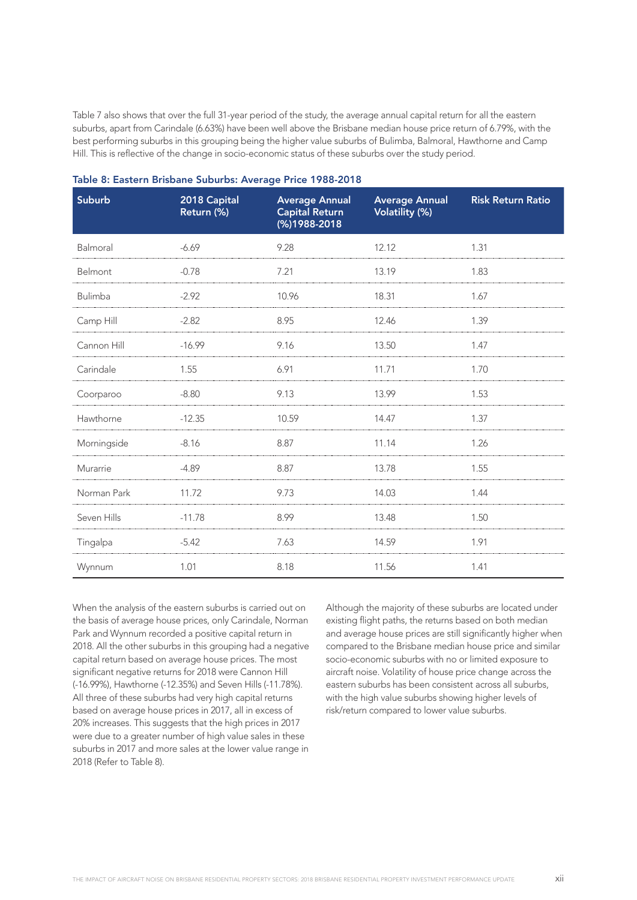Table 7 also shows that over the full 31-year period of the study, the average annual capital return for all the eastern suburbs, apart from Carindale (6.63%) have been well above the Brisbane median house price return of 6.79%, with the best performing suburbs in this grouping being the higher value suburbs of Bulimba, Balmoral, Hawthorne and Camp Hill. This is reflective of the change in socio-economic status of these suburbs over the study period.

| <b>Suburb</b> | 2018 Capital<br>Return (%) | <b>Average Annual</b><br><b>Capital Return</b><br>$(%)$ 1988-2018 | <b>Average Annual</b><br><b>Volatility (%)</b> | <b>Risk Return Ratio</b> |
|---------------|----------------------------|-------------------------------------------------------------------|------------------------------------------------|--------------------------|
| Balmoral      | $-6.69$                    | 9.28                                                              | 12.12                                          | 1.31                     |
| Belmont       | $-0.78$                    | 7.21                                                              | 13.19                                          | 1.83                     |
| Bulimba       | $-2.92$                    | 10.96                                                             | 18.31                                          | 1.67                     |
| Camp Hill     | $-2.82$                    | 8.95                                                              | 12.46                                          | 1.39                     |
| Cannon Hill   | $-16.99$                   | 9.16                                                              | 13.50                                          | 1.47                     |
| Carindale     | 1.55                       | 6.91                                                              | 11.71                                          | 1.70                     |
| Coorparoo     | $-8.80$                    | 9.13                                                              | 13.99                                          | 1.53                     |
| Hawthorne     | $-12.35$                   | 10.59                                                             | 14.47                                          | 1.37                     |
| Morningside   | $-8.16$                    | 8.87                                                              | 11.14                                          | 1.26                     |
| Murarrie      | $-4.89$                    | 8.87                                                              | 13.78                                          | 1.55                     |
| Norman Park   | 11.72                      | 9.73                                                              | 14.03                                          | 1.44                     |
| Seven Hills   | $-11.78$                   | 8.99                                                              | 13.48                                          | 1.50                     |
| Tingalpa      | $-5.42$                    | 7.63                                                              | 14.59                                          | 1.91                     |
| Wynnum        | 1.01                       | 8.18                                                              | 11.56                                          | 1.41                     |

| Table 8: Eastern Brisbane Suburbs: Average Price 1988-2018 |  |  |  |  |  |  |
|------------------------------------------------------------|--|--|--|--|--|--|
|------------------------------------------------------------|--|--|--|--|--|--|

When the analysis of the eastern suburbs is carried out on the basis of average house prices, only Carindale, Norman Park and Wynnum recorded a positive capital return in 2018. All the other suburbs in this grouping had a negative capital return based on average house prices. The most significant negative returns for 2018 were Cannon Hill (-16.99%), Hawthorne (-12.35%) and Seven Hills (-11.78%). All three of these suburbs had very high capital returns based on average house prices in 2017, all in excess of 20% increases. This suggests that the high prices in 2017 were due to a greater number of high value sales in these suburbs in 2017 and more sales at the lower value range in 2018 (Refer to Table 8).

Although the majority of these suburbs are located under existing flight paths, the returns based on both median and average house prices are still significantly higher when compared to the Brisbane median house price and similar socio-economic suburbs with no or limited exposure to aircraft noise. Volatility of house price change across the eastern suburbs has been consistent across all suburbs, with the high value suburbs showing higher levels of risk/return compared to lower value suburbs.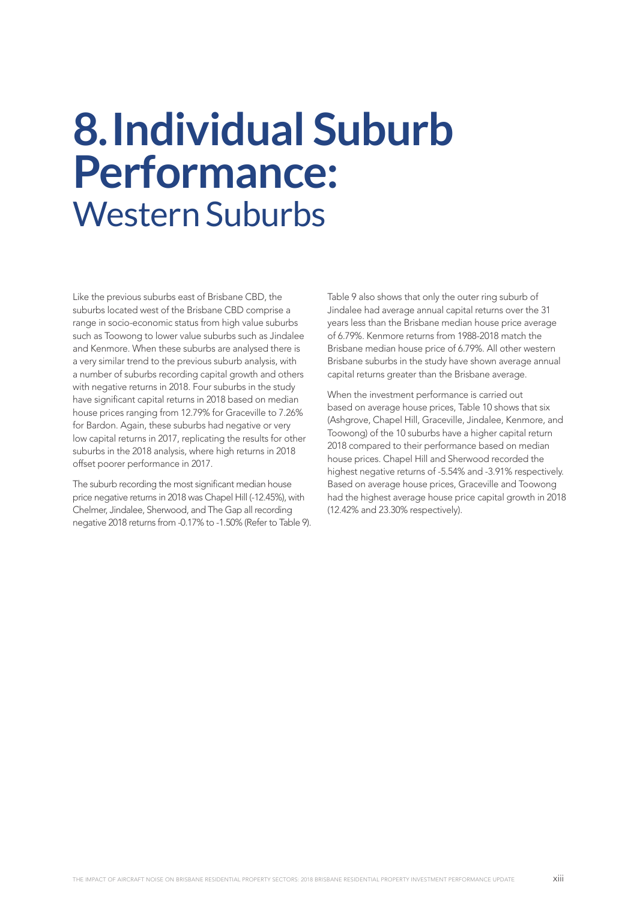### **8.Individual Suburb Performance:**  Western Suburbs

Like the previous suburbs east of Brisbane CBD, the suburbs located west of the Brisbane CBD comprise a range in socio-economic status from high value suburbs such as Toowong to lower value suburbs such as Jindalee and Kenmore. When these suburbs are analysed there is a very similar trend to the previous suburb analysis, with a number of suburbs recording capital growth and others with negative returns in 2018. Four suburbs in the study have significant capital returns in 2018 based on median house prices ranging from 12.79% for Graceville to 7.26% for Bardon. Again, these suburbs had negative or very low capital returns in 2017, replicating the results for other suburbs in the 2018 analysis, where high returns in 2018 offset poorer performance in 2017.

The suburb recording the most significant median house price negative returns in 2018 was Chapel Hill (-12.45%), with Chelmer, Jindalee, Sherwood, and The Gap all recording negative 2018 returns from -0.17% to -1.50% (Refer to Table 9).

Table 9 also shows that only the outer ring suburb of Jindalee had average annual capital returns over the 31 years less than the Brisbane median house price average of 6.79%. Kenmore returns from 1988-2018 match the Brisbane median house price of 6.79%. All other western Brisbane suburbs in the study have shown average annual capital returns greater than the Brisbane average.

When the investment performance is carried out based on average house prices, Table 10 shows that six (Ashgrove, Chapel Hill, Graceville, Jindalee, Kenmore, and Toowong) of the 10 suburbs have a higher capital return 2018 compared to their performance based on median house prices. Chapel Hill and Sherwood recorded the highest negative returns of -5.54% and -3.91% respectively. Based on average house prices, Graceville and Toowong had the highest average house price capital growth in 2018 (12.42% and 23.30% respectively).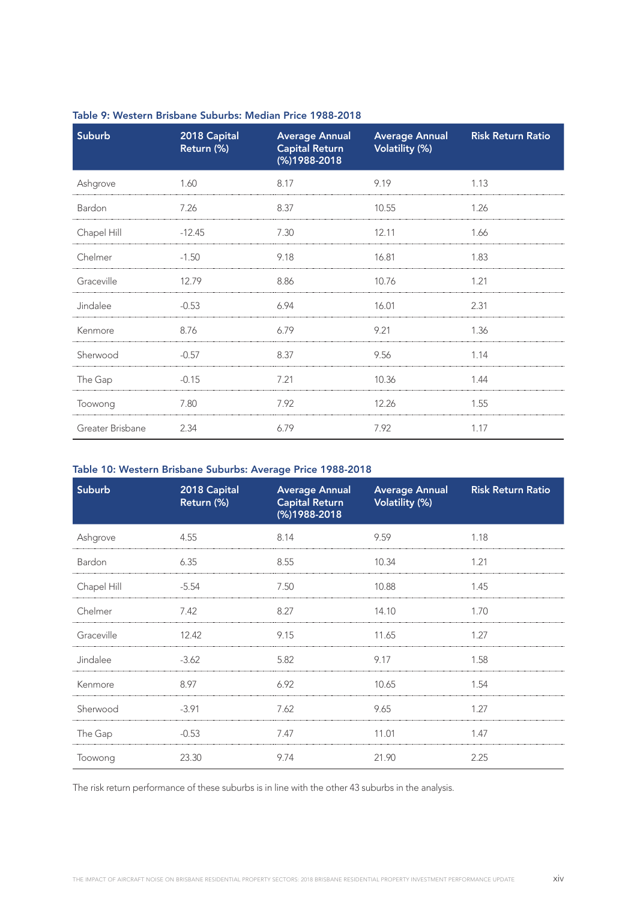| <b>Suburb</b>    | 2018 Capital<br>Return (%) | <b>Average Annual</b><br><b>Capital Return</b><br>(%)1988-2018 | <b>Average Annual</b><br>Volatility (%) | <b>Risk Return Ratio</b> |
|------------------|----------------------------|----------------------------------------------------------------|-----------------------------------------|--------------------------|
| Ashgrove         | 1.60                       | 8.17                                                           | 9.19                                    | 1.13                     |
| Bardon           | 7.26                       | 8.37                                                           | 10.55                                   | 1.26                     |
| Chapel Hill      | $-12.45$                   | 7.30                                                           | 12.11                                   | 1.66                     |
| Chelmer          | $-1.50$                    | 9.18                                                           | 16.81                                   | 1.83                     |
| Graceville       | 12.79                      | 8.86                                                           | 10.76                                   | 1.21                     |
| Jindalee         | $-0.53$                    | 6.94                                                           | 16.01                                   | 2.31                     |
| Kenmore          | 8.76                       | 6.79                                                           | 9.21                                    | 1.36                     |
| Sherwood         | $-0.57$                    | 8.37                                                           | 9.56                                    | 1.14                     |
| The Gap          | $-0.15$                    | 7.21                                                           | 10.36                                   | 1.44                     |
| Toowong          | 7.80                       | 7.92                                                           | 12.26                                   | 1.55                     |
| Greater Brisbane | 2.34                       | 6.79                                                           | 7.92                                    | 1.17                     |

#### Table 9: Western Brisbane Suburbs: Median Price 1988-2018

#### Table 10: Western Brisbane Suburbs: Average Price 1988-2018

| <b>Suburb</b> | 2018 Capital<br>Return (%) | <b>Average Annual</b><br>Capital Return<br>(%)1988-2018 | <b>Average Annual</b><br><b>Volatility (%)</b> | <b>Risk Return Ratio</b> |
|---------------|----------------------------|---------------------------------------------------------|------------------------------------------------|--------------------------|
| Ashgrove      | 4.55                       | 8.14                                                    | 9.59                                           | 1.18                     |
| Bardon        | 6.35                       | 8.55                                                    | 10.34                                          | 1.21                     |
| Chapel Hill   | -5.54                      | 7.50                                                    | 10.88                                          | 1.45                     |
| Chelmer       | 7.42                       | 8.27                                                    | 14.10                                          | 1.70                     |
| Graceville    | 12.42                      | 9.15                                                    | 11.65                                          | 1.27                     |
| Jindalee      | $-3.62$                    | 5.82                                                    | 9.17                                           | 1.58                     |
| Kenmore       | 8.97                       | 6.92                                                    | 10.65                                          | 1.54                     |
| Sherwood      | $-3.91$                    | 7.62                                                    | 9.65                                           | 1.27                     |
| The Gap       | $-0.53$                    | 7.47                                                    | 11.01                                          | 1.47                     |
| Toowong       | 23.30                      | 9.74                                                    | 21.90                                          | 2.25                     |

The risk return performance of these suburbs is in line with the other 43 suburbs in the analysis.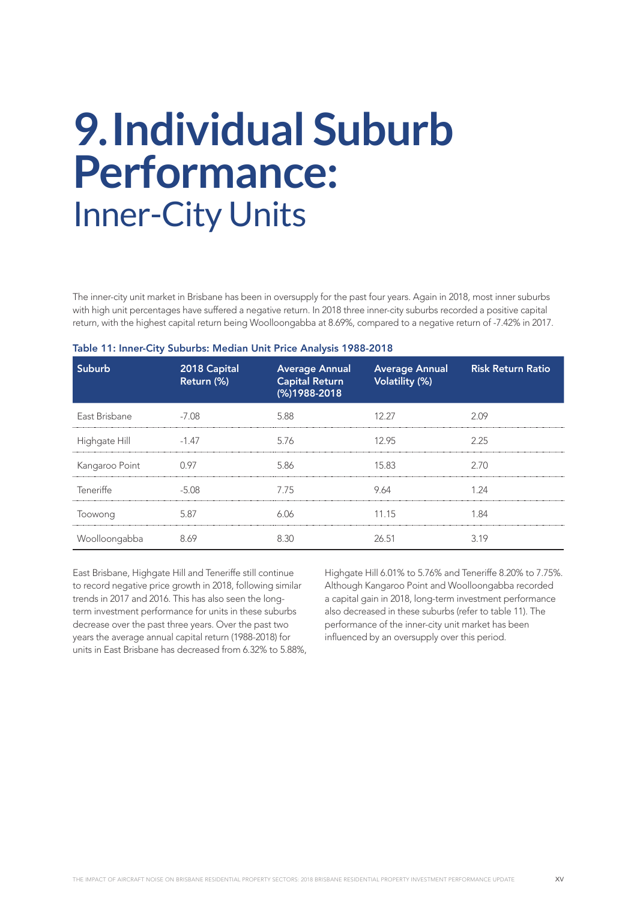### **9.Individual Suburb Performance:**  Inner-City Units

The inner-city unit market in Brisbane has been in oversupply for the past four years. Again in 2018, most inner suburbs with high unit percentages have suffered a negative return. In 2018 three inner-city suburbs recorded a positive capital return, with the highest capital return being Woolloongabba at 8.69%, compared to a negative return of -7.42% in 2017.

| Suburb         | 2018 Capital<br>Return (%) | <b>Average Annual</b><br><b>Capital Return</b><br>(%)1988-2018 | <b>Average Annual</b><br>Volatility (%) | <b>Risk Return Ratio</b> |
|----------------|----------------------------|----------------------------------------------------------------|-----------------------------------------|--------------------------|
| East Brisbane  | $-7.08$                    | 5.88                                                           | 12.27                                   | 2.09                     |
| Highgate Hill  | $-1.47$                    | 5.76                                                           | 12.95                                   | 2.25                     |
| Kangaroo Point | 0.97                       | 5.86                                                           | 15.83                                   | 2.70                     |
| Teneriffe      | -5.08                      | 7.75                                                           | 9.64                                    | 1.24                     |
| Toowong        | 5.87                       | 6 N A                                                          | 11.15                                   | 1 84                     |
| Woolloongabba  | 8.69                       | 8.30                                                           | 26.51                                   | 3.19                     |

#### Table 11: Inner-City Suburbs: Median Unit Price Analysis 1988-2018

East Brisbane, Highgate Hill and Teneriffe still continue to record negative price growth in 2018, following similar trends in 2017 and 2016. This has also seen the longterm investment performance for units in these suburbs decrease over the past three years. Over the past two years the average annual capital return (1988-2018) for units in East Brisbane has decreased from 6.32% to 5.88%, Highgate Hill 6.01% to 5.76% and Teneriffe 8.20% to 7.75%. Although Kangaroo Point and Woolloongabba recorded a capital gain in 2018, long-term investment performance also decreased in these suburbs (refer to table 11). The performance of the inner-city unit market has been influenced by an oversupply over this period.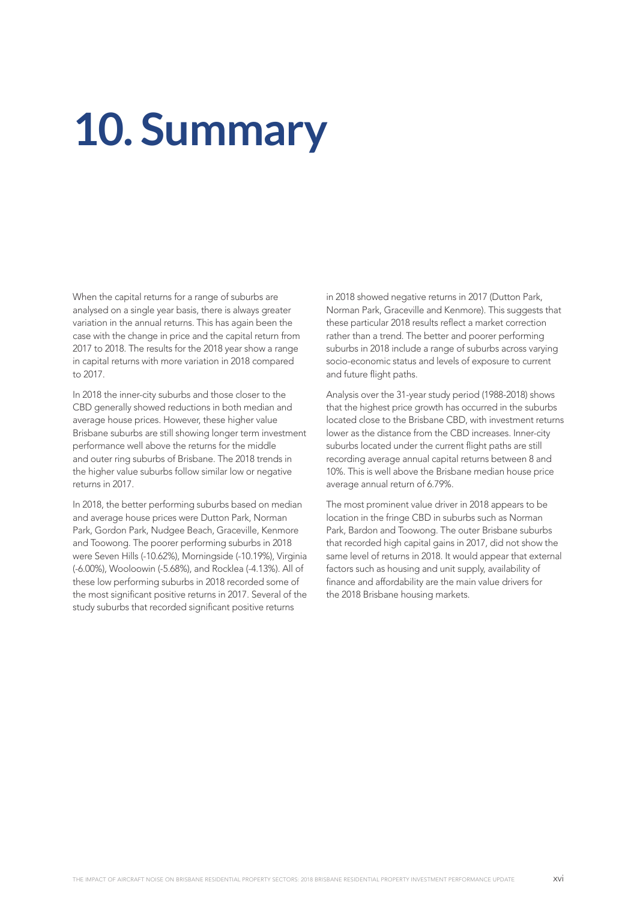## **10. Summary**

When the capital returns for a range of suburbs are analysed on a single year basis, there is always greater variation in the annual returns. This has again been the case with the change in price and the capital return from 2017 to 2018. The results for the 2018 year show a range in capital returns with more variation in 2018 compared to 2017.

In 2018 the inner-city suburbs and those closer to the CBD generally showed reductions in both median and average house prices. However, these higher value Brisbane suburbs are still showing longer term investment performance well above the returns for the middle and outer ring suburbs of Brisbane. The 2018 trends in the higher value suburbs follow similar low or negative returns in 2017.

In 2018, the better performing suburbs based on median and average house prices were Dutton Park, Norman Park, Gordon Park, Nudgee Beach, Graceville, Kenmore and Toowong. The poorer performing suburbs in 2018 were Seven Hills (-10.62%), Morningside (-10.19%), Virginia (-6.00%), Wooloowin (-5.68%), and Rocklea (-4.13%). All of these low performing suburbs in 2018 recorded some of the most significant positive returns in 2017. Several of the study suburbs that recorded significant positive returns

in 2018 showed negative returns in 2017 (Dutton Park, Norman Park, Graceville and Kenmore). This suggests that these particular 2018 results reflect a market correction rather than a trend. The better and poorer performing suburbs in 2018 include a range of suburbs across varying socio-economic status and levels of exposure to current and future flight paths.

Analysis over the 31-year study period (1988-2018) shows that the highest price growth has occurred in the suburbs located close to the Brisbane CBD, with investment returns lower as the distance from the CBD increases. Inner-city suburbs located under the current flight paths are still recording average annual capital returns between 8 and 10%. This is well above the Brisbane median house price average annual return of 6.79%.

The most prominent value driver in 2018 appears to be location in the fringe CBD in suburbs such as Norman Park, Bardon and Toowong. The outer Brisbane suburbs that recorded high capital gains in 2017, did not show the same level of returns in 2018. It would appear that external factors such as housing and unit supply, availability of finance and affordability are the main value drivers for the 2018 Brisbane housing markets.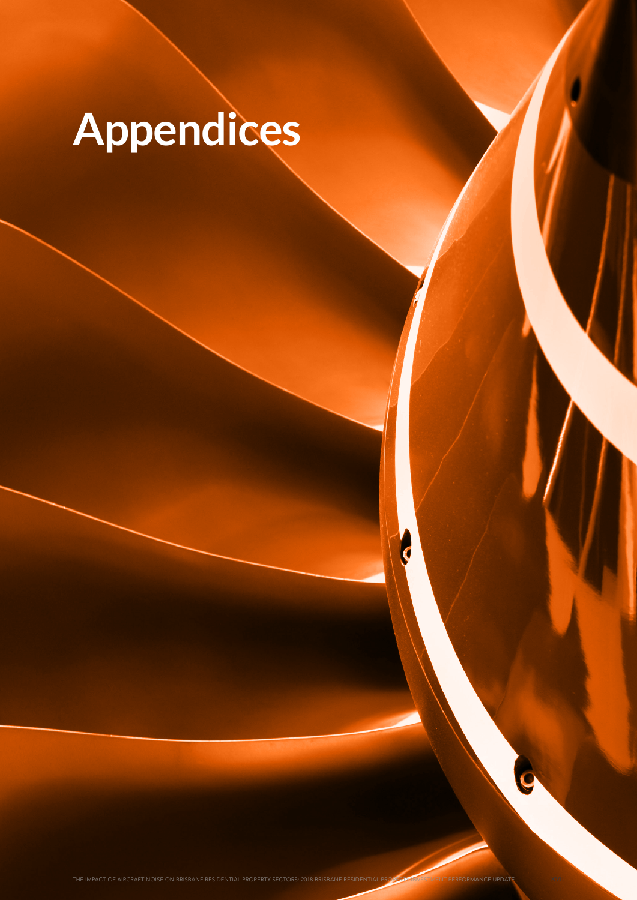# **Appendices**

THE IMPACT OF AIRCRAFT NOISE ON BRISBANE RESIDENTIAL PROPERTY SECTORS: 2018 BRISBANE RESIDENTIAL PROPERTY INVESTMENT PERFORMANCE UPDATE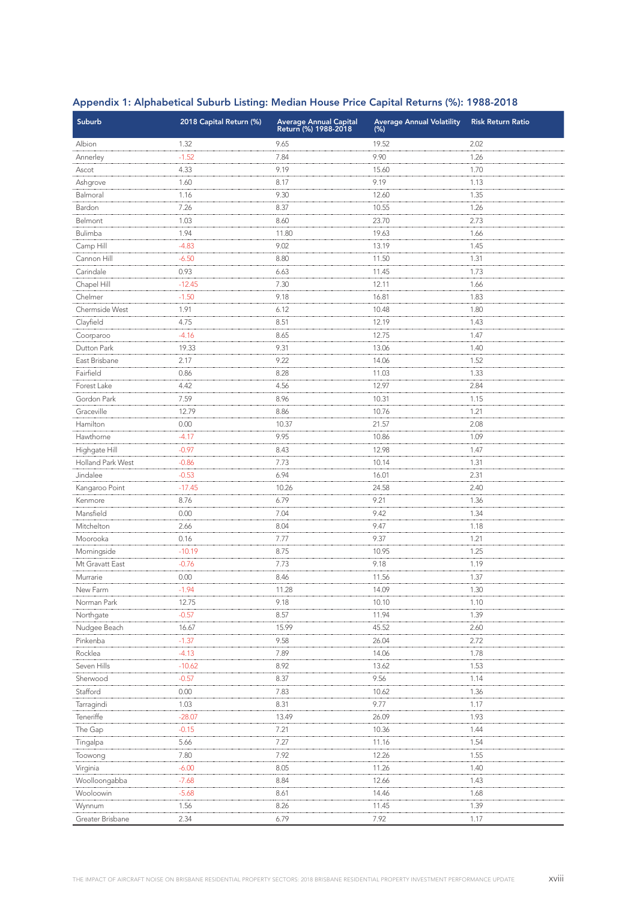| <b>Suburb</b>            | 2018 Capital Return (%) | <b>Average Annual Capital</b><br>Return (%) 1988-2018 | <b>Average Annual Volatility</b><br>(% ) | <b>Risk Return Ratio</b> |
|--------------------------|-------------------------|-------------------------------------------------------|------------------------------------------|--------------------------|
| Albion                   | 1.32                    | 9.65                                                  | 19.52                                    | 2.02                     |
| Annerley                 | $-1.52$                 | 7.84                                                  | 9.90                                     | 1.26                     |
| Ascot                    | 4.33                    | 9.19                                                  | 15.60                                    | 1.70                     |
| Ashgrove                 | 1.60                    | 8.17                                                  | 9.19                                     | 1.13                     |
| Balmoral                 | 1.16                    | 9.30                                                  | 12.60                                    | 1.35                     |
| Bardon                   | 7.26                    | 8.37                                                  | 10.55                                    | 1.26                     |
| Belmont                  | 1.03                    | 8.60                                                  | 23.70                                    | 2.73                     |
| Bulimba                  | 1.94                    | 11.80                                                 | 19.63                                    | 1.66                     |
| Camp Hill                | $-4.83$                 | 9.02                                                  | 13.19                                    | 1.45                     |
| Cannon Hill              | $-6.50$                 | 8.80                                                  | 11.50                                    | 1.31                     |
| Carindale                | 0.93                    | 6.63                                                  | 11.45                                    | 1.73                     |
| Chapel Hill              | $-12.45$                | 7.30                                                  | 12.11                                    | 1.66                     |
| Chelmer                  | $-1.50$                 | 9.18                                                  | 16.81                                    | 1.83                     |
| Chermside West           | 1.91                    | 6.12                                                  | 10.48                                    | 1.80                     |
| Clayfield                | 4.75                    | 8.51                                                  | 12.19                                    | 1.43                     |
| Coorparoo                | $-4.16$                 | 8.65                                                  | 12.75                                    | 1.47                     |
| Dutton Park              | 19.33                   | 9.31                                                  | 13.06                                    | 1.40                     |
| East Brisbane            | 2.17                    | 9.22                                                  | 14.06                                    | 1.52                     |
| Fairfield                | 0.86                    | 8.28                                                  | 11.03                                    | 1.33                     |
| Forest Lake              | 4.42                    | 4.56                                                  | 12.97                                    | 2.84                     |
| Gordon Park              | 7.59                    | 8.96                                                  | 10.31                                    | 1.15                     |
| Graceville               | 12.79                   | 8.86                                                  | 10.76                                    | 1.21                     |
| Hamilton                 | 0.00                    | 10.37                                                 | 21.57                                    | 2.08                     |
| Hawthorne                | $-4.17$                 | 9.95                                                  | 10.86                                    | 1.09                     |
| Highgate Hill            | $-0.97$                 | 8.43                                                  | 12.98                                    | 1.47                     |
| <b>Holland Park West</b> | $-0.86$                 | 7.73                                                  | 10.14                                    | 1.31                     |
| Jindalee                 | $-0.53$                 | 6.94                                                  | 16.01                                    | 2.31                     |
| Kangaroo Point           | $-17.45$                | 10.26                                                 | 24.58                                    | 2.40                     |
| Kenmore                  | 8.76                    | 6.79                                                  | 9.21                                     | 1.36                     |
| Mansfield                | 0.00                    | 7.04                                                  | 9.42                                     | 1.34                     |
| Mitchelton               | 2.66                    | 8.04                                                  | 9.47                                     | 1.18                     |
| Moorooka                 | 0.16                    | 7.77                                                  | 9.37                                     | 1.21                     |
| Morningside              | $-10.19$                | 8.75                                                  | 10.95                                    | 1.25                     |
| Mt Gravatt East          | $-0.76$                 | 7.73                                                  | 9.18                                     | 1.19                     |
| Murrarie                 | 0.00                    | 8.46                                                  | 11.56                                    | 1.37                     |
| New Farm                 | 1.94                    | 11.28                                                 | 14.09                                    | 1.30                     |
| Norman Park              | 12.75                   | 9.18                                                  | 10.10                                    | 1.10                     |
| Northgate                | $-0.57$                 | 8.57                                                  | 11.94                                    | 1.39                     |
| Nudgee Beach             | 16.67                   | 15.99                                                 | 45.52                                    | 2.60                     |
| Pinkenba                 | $-1.37$                 | 9.58                                                  | 26.04                                    | 2.72                     |
| Rocklea                  | $-4.13$                 | 7.89                                                  | 14.06                                    | 1.78                     |
| Seven Hills              | $-10.62$                | 8.92                                                  | 13.62                                    | 1.53                     |
| Sherwood                 | $-0.57$                 | 8.37                                                  | 9.56                                     | 1.14                     |
| Stafford                 | 0.00                    | 7.83                                                  | 10.62                                    | 1.36                     |
| Tarragindi               | 1.03                    | 8.31                                                  | 9.77                                     | 1.17                     |
| Teneriffe                | $-28.07$                | 13.49                                                 | 26.09                                    | 1.93                     |
| The Gap                  | $-0.15$                 | 7.21                                                  | 10.36                                    | 1.44                     |
| Tingalpa                 | 5.66                    | 7.27                                                  | 11.16                                    | 1.54                     |
| Toowong                  | 7.80                    | 7.92                                                  | 12.26                                    | 1.55                     |
| Virginia                 | $-6.00$                 | 8.05                                                  | 11.26                                    | 1.40                     |
| Woolloongabba            | $-7.68$                 | 8.84                                                  | 12.66                                    | 1.43                     |
| Wooloowin                | $-5.68$                 | 8.61                                                  | 14.46                                    | 1.68                     |
| Wynnum                   | 1.56                    | 8.26                                                  | 11.45                                    | 1.39                     |
| Greater Brisbane         | 2.34                    | 6.79                                                  | 7.92                                     | 1.17                     |

### Appendix 1: Alphabetical Suburb Listing: Median House Price Capital Returns (%): 1988-2018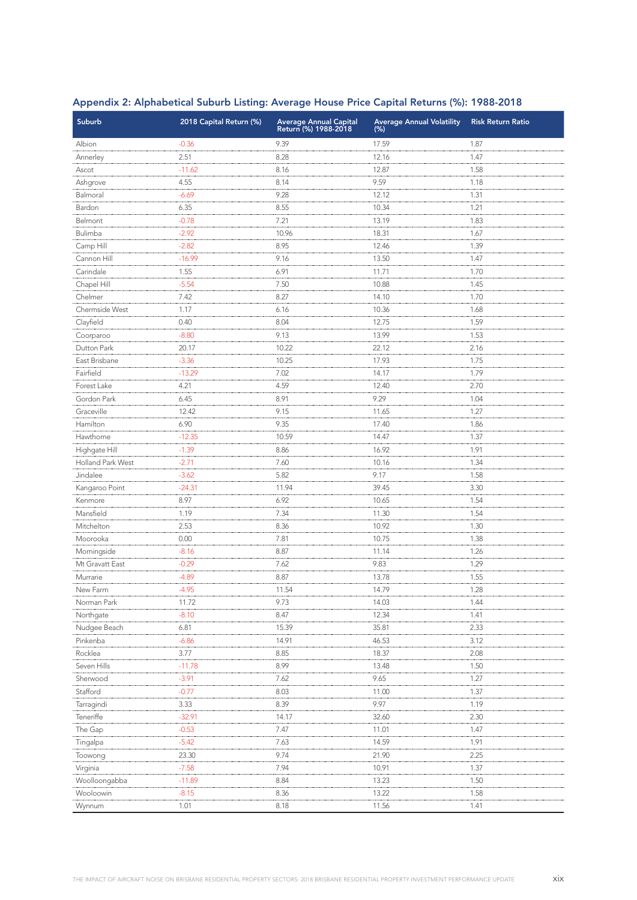| <b>Suburb</b>            | 2018 Capital Return (%) | <b>Average Annual Capital</b><br>Return (%) 1988-2018 | <b>Average Annual Volatility</b><br>(% ) | <b>Risk Return Ratio</b> |
|--------------------------|-------------------------|-------------------------------------------------------|------------------------------------------|--------------------------|
| Albion                   | $-0.36$                 | 9.39                                                  | 17.59                                    | 1.87                     |
| Annerley                 | 2.51                    | 8.28                                                  | 12.16                                    | 1.47                     |
| Ascot                    | $-11.62$                | 8.16                                                  | 12.87                                    | 1.58                     |
| Ashgrove                 | 4.55                    | 8.14                                                  | 9.59                                     | 1.18                     |
| Balmoral                 | $-6.69$                 | 9.28                                                  | 12.12                                    | 1.31                     |
| Bardon                   | 6.35                    | 8.55                                                  | 10.34                                    | 1.21                     |
| Belmont                  | $-0.78$                 | 7.21                                                  | 13.19                                    | 1.83                     |
| Bulimba                  | $-2.92$                 | 10.96                                                 | 18.31                                    | 1.67                     |
| Camp Hill                | $-2.82$                 | 8.95                                                  | 12.46                                    | 1.39                     |
| Cannon Hill              | $-16.99$                | 9.16                                                  | 13.50                                    | 1.47                     |
| Carindale                | 1.55                    | 6.91                                                  | 11.71                                    | 1.70                     |
| Chapel Hill              | $-5.54$                 | 7.50                                                  | 10.88                                    | 1.45                     |
| Chelmer                  | 7.42                    | 8.27                                                  | 14.10                                    | 1.70                     |
| Chermside West           | 1.17                    | 6.16                                                  | 10.36                                    | 1.68                     |
| Clayfield                | 0.40                    | 8.04                                                  | 12.75                                    | 1.59                     |
| Coorparoo                | $-8.80$                 | 9.13                                                  | 13.99                                    | 1.53                     |
| Dutton Park              | 20.17                   | 10.22                                                 | 22.12                                    | 2.16                     |
| East Brisbane            | $-3.36$                 | 10.25                                                 | 17.93                                    | 1.75                     |
| Fairfield                | $-13.29$                | 7.02                                                  | 14.17                                    | 1.79                     |
| Forest Lake              | 4.21                    | 4.59                                                  | 12.40                                    | 2.70                     |
| Gordon Park              | 6.45                    | 8.91                                                  | 9.29                                     | 1.04                     |
| Graceville               | 12.42                   | 9.15                                                  | 11.65                                    | 1.27                     |
| Hamilton                 | 6.90                    | 9.35                                                  | 17.40                                    | 1.86                     |
| Hawthorne                | $-12.35$                | 10.59                                                 | 14.47                                    | 1.37                     |
| Highgate Hill            | $-1.39$                 | 8.86                                                  | 16.92                                    | 1.91                     |
| <b>Holland Park West</b> | $-2.71$                 | 7.60                                                  | 10.16                                    | 1.34                     |
| Jindalee                 | $-3.62$                 | 5.82                                                  | 9.17                                     | 1.58                     |
| Kangaroo Point           | $-24.31$                | 11.94                                                 | 39.45                                    | 3.30                     |
| Kenmore                  | 8.97                    | 6.92                                                  | 10.65                                    | 1.54                     |
| Mansfield                | 1.19                    | 7.34                                                  | 11.30                                    | 1.54                     |
| Mitchelton               | 2.53                    | 8.36                                                  | 10.92                                    | 1.30                     |
| Moorooka                 | 0.00                    | 7.81                                                  | 10.75                                    | 1.38                     |
| Morningside              | $-8.16$                 | 8.87                                                  | 11.14                                    | 1.26                     |
| Mt Gravatt East          | $-0.29$                 | 7.62                                                  | 9.83                                     | 1.29                     |
| Murrarie                 | $-4.89$                 | 8.87                                                  | 13.78                                    | 1.55                     |
| New Farm                 | 4.95                    | 11.54                                                 | 14.79                                    | 1.28                     |
| Norman Park              | 11.72                   | 9.73                                                  | 14.03                                    | 1.44                     |
| Northgate                | $-8.10$                 | 8.47                                                  | 12.34                                    | 1.41                     |
| Nudgee Beach             | 6.81                    | 15.39                                                 | 35.81                                    | 2.33                     |
| Pinkenba                 | $-6.86$                 | 14.91                                                 | 46.53                                    | 3.12                     |
| Rocklea                  | 3.77                    | 8.85                                                  | 18.37                                    | 2.08                     |
| Seven Hills              | $-11.78$                | 8.99                                                  | 13.48                                    | 1.50                     |
| Sherwood                 | $-3.91$                 | 7.62                                                  | 9.65                                     | 1.27                     |
| Stafford                 | $-0.77$                 | 8.03                                                  | 11.00                                    | 1.37                     |
| Tarragindi               | 3.33                    | 8.39                                                  | 9.97                                     | 1.19                     |
| Teneriffe                | $-32.91$                | 14.17                                                 | 32.60                                    | 2.30                     |
| The Gap                  | $-0.53$                 | 7.47                                                  | 11.01                                    | 1.47                     |
| Tingalpa                 | $-5.42$                 | 7.63                                                  | 14.59                                    | 1.91                     |
| Toowong                  | 23.30                   | 9.74                                                  | 21.90                                    | 2.25                     |
| Virginia                 | $-7.58$                 | 7.94                                                  | 10.91                                    | 1.37                     |
| Woolloongabba            | $-11.89$                | 8.84                                                  | 13.23                                    | 1.50                     |
| Wooloowin                | $-8.15$                 | 8.36                                                  | 13.22                                    | 1.58                     |
| Wynnum                   | 1.01                    | 8.18                                                  | 11.56                                    | 1.41                     |

### Appendix 2: Alphabetical Suburb Listing: Average House Price Capital Returns (%): 1988-2018